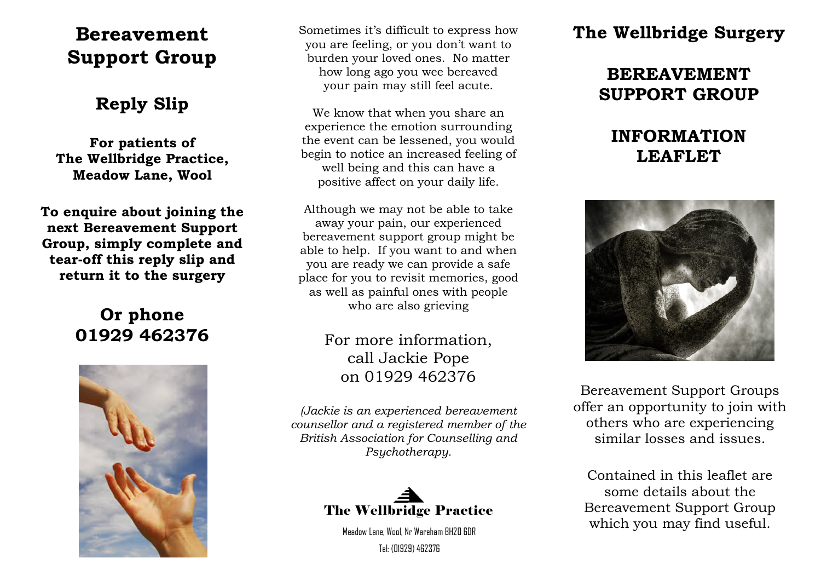# **Bereavement Support Group**

## **Reply Slip**

**For patients of The Wellbridge Practice, Meadow Lane, Wool**

**To enquire about joining the next Bereavement Support Group, simply complete and tear-off this reply slip and return it to the surgery**

## **Or phone 01929 462376**



Sometimes it's difficult to express how you are feeling, or you don't want to burden your loved ones. No matter how long ago you wee bereaved your pain may still feel acute.

We know that when you share an experience the emotion surrounding the event can be lessened, you would begin to notice an increased feeling of well being and this can have a positive affect on your daily life.

Although we may not be able to take away your pain, our experienced bereavement support group might be able to help. If you want to and when you are ready we can provide a safe place for you to revisit memories, good as well as painful ones with people who are also grieving

## For more information, call Jackie Pope on 01929 462376

*(Jackie is an experienced bereavement counsellor and a registered member of the British Association for Counselling and Psychotherapy.*



Meadow Lane, Wool, Nr Wareham BH20 6DR Tel: (01929) 462376

# **The Wellbridge Surgery**

# **BEREAVEMENT SUPPORT GROUP**

## **INFORMATION LEAFLET**



Bereavement Support Groups offer an opportunity to join with others who are experiencing similar losses and issues.

Contained in this leaflet are some details about the Bereavement Support Group which you may find useful.